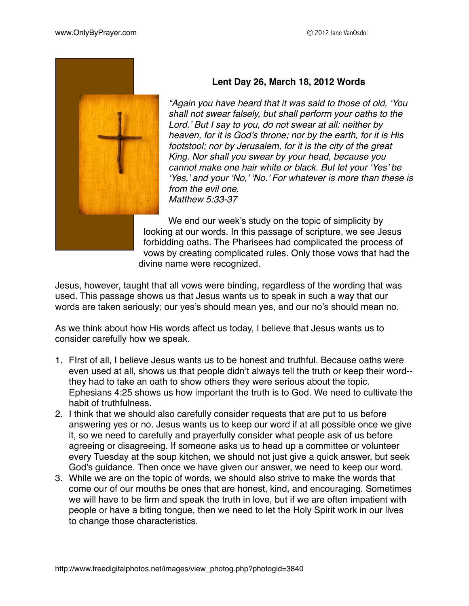

## **Lent Day 26, March 18, 2012 Words**

*"Again you have heard that it was said to those of old, 'You shall not swear falsely, but shall perform your oaths to the Lord.' But I say to you, do not swear at all: neither by heaven, for it is God's throne; nor by the earth, for it is His footstool; nor by Jerusalem, for it is the city of the great King. Nor shall you swear by your head, because you cannot make one hair white or black. But let your 'Yes' be 'Yes,' and your 'No,' 'No.' For whatever is more than these is from the evil one. Matthew 5:33-37*

We end our week's study on the topic of simplicity by looking at our words. In this passage of scripture, we see Jesus forbidding oaths. The Pharisees had complicated the process of vows by creating complicated rules. Only those vows that had the divine name were recognized.

Jesus, however, taught that all vows were binding, regardless of the wording that was used. This passage shows us that Jesus wants us to speak in such a way that our words are taken seriously; our yes's should mean yes, and our no's should mean no.

As we think about how His words affect us today, I believe that Jesus wants us to consider carefully how we speak.

- 1. FIrst of all, I believe Jesus wants us to be honest and truthful. Because oaths were even used at all, shows us that people didn't always tell the truth or keep their word- they had to take an oath to show others they were serious about the topic. Ephesians 4:25 shows us how important the truth is to God. We need to cultivate the habit of truthfulness.
- 2. I think that we should also carefully consider requests that are put to us before answering yes or no. Jesus wants us to keep our word if at all possible once we give it, so we need to carefully and prayerfully consider what people ask of us before agreeing or disagreeing. If someone asks us to head up a committee or volunteer every Tuesday at the soup kitchen, we should not just give a quick answer, but seek God's guidance. Then once we have given our answer, we need to keep our word.
- 3. While we are on the topic of words, we should also strive to make the words that come our of our mouths be ones that are honest, kind, and encouraging. Sometimes we will have to be firm and speak the truth in love, but if we are often impatient with people or have a biting tongue, then we need to let the Holy Spirit work in our lives to change those characteristics.